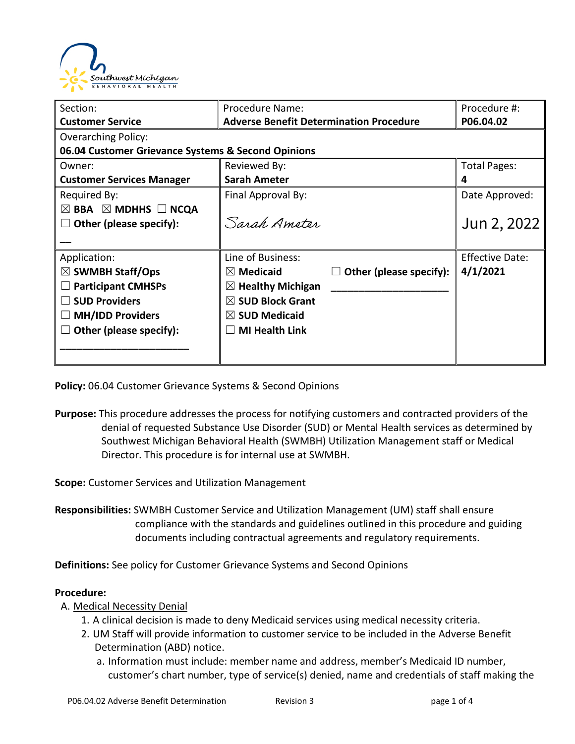

| Section:                                           | Procedure Name:                                 | Procedure #:           |  |  |
|----------------------------------------------------|-------------------------------------------------|------------------------|--|--|
| <b>Customer Service</b>                            | <b>Adverse Benefit Determination Procedure</b>  | P06.04.02              |  |  |
| <b>Overarching Policy:</b>                         |                                                 |                        |  |  |
| 06.04 Customer Grievance Systems & Second Opinions |                                                 |                        |  |  |
| Owner:                                             | Reviewed By:                                    | <b>Total Pages:</b>    |  |  |
| <b>Customer Services Manager</b>                   | <b>Sarah Ameter</b>                             | 4                      |  |  |
| Required By:                                       | Final Approval By:                              | Date Approved:         |  |  |
| $\boxtimes$ BBA $\boxtimes$ MDHHS $\Box$ NCQA      |                                                 |                        |  |  |
| Other (please specify):                            | Sarah Ameter                                    | Jun 2, 2022            |  |  |
|                                                    |                                                 |                        |  |  |
| Application:                                       | Line of Business:                               | <b>Effective Date:</b> |  |  |
| $\boxtimes$ SWMBH Staff/Ops                        | Other (please specify):<br>$\boxtimes$ Medicaid | 4/1/2021               |  |  |
| <b>Participant CMHSPs</b>                          | $\boxtimes$ Healthy Michigan                    |                        |  |  |
| <b>SUD Providers</b>                               | $\boxtimes$ SUD Block Grant                     |                        |  |  |
| <b>MH/IDD Providers</b>                            | $\boxtimes$ SUD Medicaid                        |                        |  |  |
| Other (please specify):                            | <b>MI Health Link</b>                           |                        |  |  |
|                                                    |                                                 |                        |  |  |
|                                                    |                                                 |                        |  |  |

**Policy:** 06.04 Customer Grievance Systems & Second Opinions

**Purpose:** This procedure addresses the process for notifying customers and contracted providers of the denial of requested Substance Use Disorder (SUD) or Mental Health services as determined by Southwest Michigan Behavioral Health (SWMBH) Utilization Management staff or Medical Director. This procedure is for internal use at SWMBH.

**Scope:** Customer Services and Utilization Management

**Responsibilities:** SWMBH Customer Service and Utilization Management (UM) staff shall ensure compliance with the standards and guidelines outlined in this procedure and guiding documents including contractual agreements and regulatory requirements.

**Definitions:** See policy for Customer Grievance Systems and Second Opinions

#### **Procedure:**

- A. Medical Necessity Denial
	- 1. A clinical decision is made to deny Medicaid services using medical necessity criteria.
	- 2. UM Staff will provide information to customer service to be included in the Adverse Benefit Determination (ABD) notice.
		- a. Information must include: member name and address, member's Medicaid ID number, customer's chart number, type of service(s) denied, name and credentials of staff making the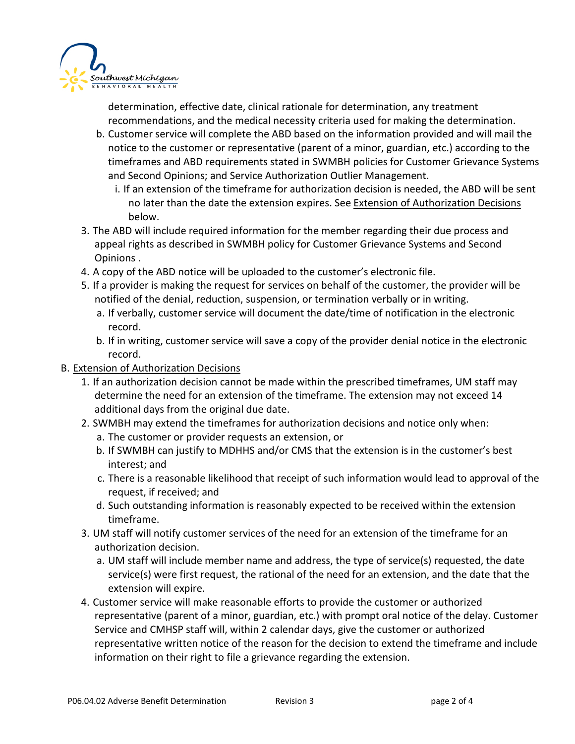

determination, effective date, clinical rationale for determination, any treatment recommendations, and the medical necessity criteria used for making the determination.

- b. Customer service will complete the ABD based on the information provided and will mail the notice to the customer or representative (parent of a minor, guardian, etc.) according to the timeframes and ABD requirements stated in SWMBH policies for Customer Grievance Systems and Second Opinions; and Service Authorization Outlier Management.
	- i. If an extension of the timeframe for authorization decision is needed, the ABD will be sent no later than the date the extension expires. See Extension of Authorization Decisions below.
- 3. The ABD will include required information for the member regarding their due process and appeal rights as described in SWMBH policy for Customer Grievance Systems and Second Opinions .
- 4. A copy of the ABD notice will be uploaded to the customer's electronic file.
- 5. If a provider is making the request for services on behalf of the customer, the provider will be notified of the denial, reduction, suspension, or termination verbally or in writing.
	- a. If verbally, customer service will document the date/time of notification in the electronic record.
	- b. If in writing, customer service will save a copy of the provider denial notice in the electronic record.

### **B. Extension of Authorization Decisions**

- 1. If an authorization decision cannot be made within the prescribed timeframes, UM staff may determine the need for an extension of the timeframe. The extension may not exceed 14 additional days from the original due date.
- 2. SWMBH may extend the timeframes for authorization decisions and notice only when:
	- a. The customer or provider requests an extension, or
	- b. If SWMBH can justify to MDHHS and/or CMS that the extension is in the customer's best interest; and
	- c. There is a reasonable likelihood that receipt of such information would lead to approval of the request, if received; and
	- d. Such outstanding information is reasonably expected to be received within the extension timeframe.
- 3. UM staff will notify customer services of the need for an extension of the timeframe for an authorization decision.
	- a. UM staff will include member name and address, the type of service(s) requested, the date service(s) were first request, the rational of the need for an extension, and the date that the extension will expire.
- 4. Customer service will make reasonable efforts to provide the customer or authorized representative (parent of a minor, guardian, etc.) with prompt oral notice of the delay. Customer Service and CMHSP staff will, within 2 calendar days, give the customer or authorized representative written notice of the reason for the decision to extend the timeframe and include information on their right to file a grievance regarding the extension.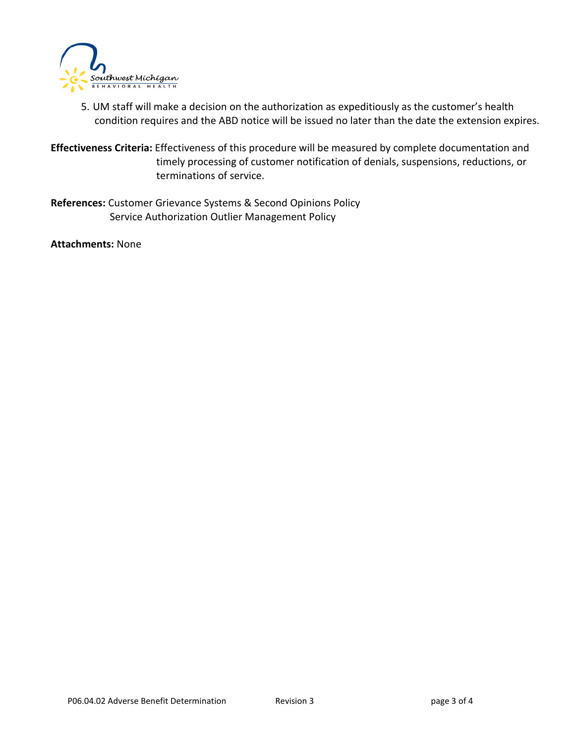

5. UM staff will make a decision on the authorization as expeditiously as the customer's health condition requires and the ABD notice will be issued no later than the date the extension expires.

**Effectiveness Criteria:** Effectiveness of this procedure will be measured by complete documentation and timely processing of customer notification of denials, suspensions, reductions, or terminations of service.

**References:** Customer Grievance Systems & Second Opinions Policy Service Authorization Outlier Management Policy

**Attachments:** None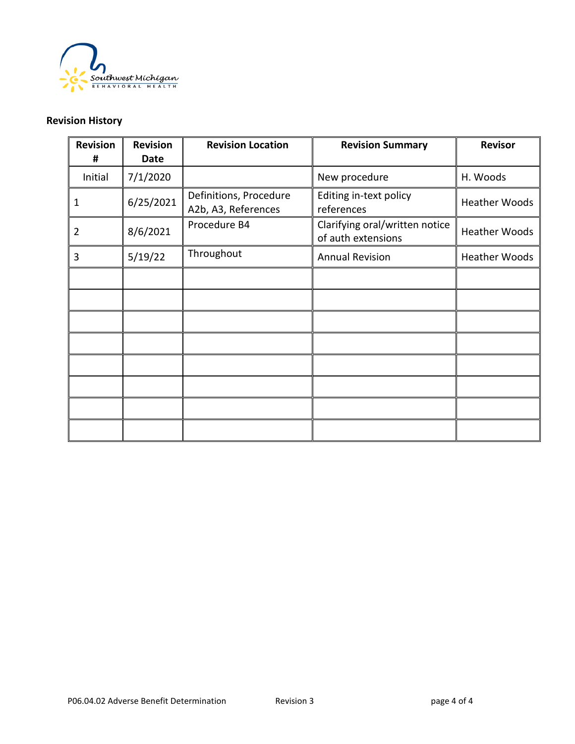

## **Revision History**

| <b>Revision</b><br># | <b>Revision</b><br><b>Date</b> | <b>Revision Location</b>                      | <b>Revision Summary</b>                              | <b>Revisor</b>       |
|----------------------|--------------------------------|-----------------------------------------------|------------------------------------------------------|----------------------|
| Initial              | 7/1/2020                       |                                               | New procedure                                        | H. Woods             |
| 1                    | 6/25/2021                      | Definitions, Procedure<br>A2b, A3, References | Editing in-text policy<br>references                 | <b>Heather Woods</b> |
| 2                    | 8/6/2021                       | Procedure B4                                  | Clarifying oral/written notice<br>of auth extensions | <b>Heather Woods</b> |
| 3                    | 5/19/22                        | Throughout                                    | <b>Annual Revision</b>                               | <b>Heather Woods</b> |
|                      |                                |                                               |                                                      |                      |
|                      |                                |                                               |                                                      |                      |
|                      |                                |                                               |                                                      |                      |
|                      |                                |                                               |                                                      |                      |
|                      |                                |                                               |                                                      |                      |
|                      |                                |                                               |                                                      |                      |
|                      |                                |                                               |                                                      |                      |
|                      |                                |                                               |                                                      |                      |